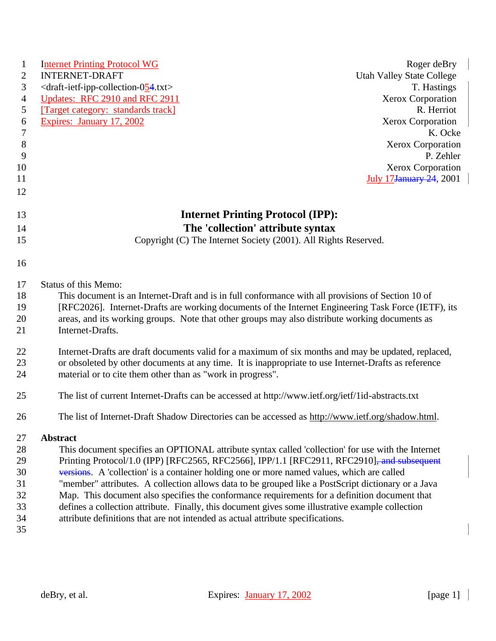| $\mathbf{1}$   | <b>Internet Printing Protocol WG</b>                                                                 | Roger deBry                      |
|----------------|------------------------------------------------------------------------------------------------------|----------------------------------|
| 2              | <b>INTERNET-DRAFT</b>                                                                                | <b>Utah Valley State College</b> |
| $\mathfrak{Z}$ | <draft-ietf-ipp-collection-054.txt></draft-ietf-ipp-collection-054.txt>                              | T. Hastings                      |
| $\overline{4}$ | Updates: RFC 2910 and RFC 2911                                                                       | <b>Xerox Corporation</b>         |
| 5              | [Target category: standards track]                                                                   | R. Herriot                       |
| 6              | Expires: January 17, 2002                                                                            | Xerox Corporation                |
| $\overline{7}$ |                                                                                                      | K. Ocke                          |
| 8              |                                                                                                      | <b>Xerox Corporation</b>         |
| 9              |                                                                                                      | P. Zehler                        |
| 10             |                                                                                                      | Xerox Corporation                |
| 11             |                                                                                                      | <b>July 17 January 24, 2001</b>  |
| 12             |                                                                                                      |                                  |
|                |                                                                                                      |                                  |
| 13             | <b>Internet Printing Protocol (IPP):</b>                                                             |                                  |
| 14             | The 'collection' attribute syntax                                                                    |                                  |
| 15             | Copyright (C) The Internet Society (2001). All Rights Reserved.                                      |                                  |
| 16             |                                                                                                      |                                  |
|                |                                                                                                      |                                  |
| 17             | Status of this Memo:                                                                                 |                                  |
| 18             | This document is an Internet-Draft and is in full conformance with all provisions of Section 10 of   |                                  |
| 19             | [RFC2026]. Internet-Drafts are working documents of the Internet Engineering Task Force (IETF), its  |                                  |
| 20             | areas, and its working groups. Note that other groups may also distribute working documents as       |                                  |
| 21             | Internet-Drafts.                                                                                     |                                  |
| 22             | Internet-Drafts are draft documents valid for a maximum of six months and may be updated, replaced,  |                                  |
| 23             | or obsoleted by other documents at any time. It is inappropriate to use Internet-Drafts as reference |                                  |
| 24             | material or to cite them other than as "work in progress".                                           |                                  |
|                |                                                                                                      |                                  |
| 25             | The list of current Internet-Drafts can be accessed at http://www.ietf.org/ietf/1id-abstracts.txt    |                                  |
| 26             | The list of Internet-Draft Shadow Directories can be accessed as http://www.ietf.org/shadow.html.    |                                  |
| 27             | <b>Abstract</b>                                                                                      |                                  |
| 28             | This document specifies an OPTIONAL attribute syntax called 'collection' for use with the Internet   |                                  |
| 29             | Printing Protocol/1.0 (IPP) [RFC2565, RFC2566], IPP/1.1 [RFC2911, RFC2910], and subsequent           |                                  |
| 30             | versions. A 'collection' is a container holding one or more named values, which are called           |                                  |
| 31             | "member" attributes. A collection allows data to be grouped like a PostScript dictionary or a Java   |                                  |
| 32             | Map. This document also specifies the conformance requirements for a definition document that        |                                  |
| 33             | defines a collection attribute. Finally, this document gives some illustrative example collection    |                                  |
| 34             | attribute definitions that are not intended as actual attribute specifications.                      |                                  |
| 35             |                                                                                                      |                                  |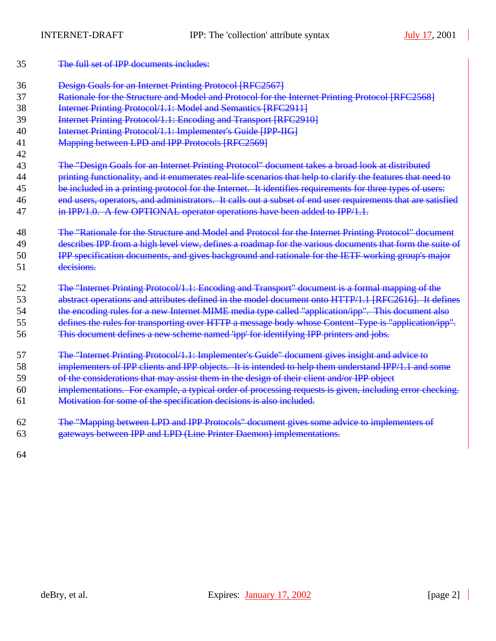| 35 | The full set of IPP documents includes:                                                                      |
|----|--------------------------------------------------------------------------------------------------------------|
| 36 | <b>Design Goals for an Internet Printing Protocol [RFC2567]</b>                                              |
| 37 | Rationale for the Structure and Model and Protocol for the Internet Printing Protocol [RFC2568]              |
| 38 | Internet Printing Protocol/1.1: Model and Semantics [RFC2911]                                                |
| 39 | Internet Printing Protocol/1.1: Encoding and Transport [RFC2910]                                             |
| 40 | Internet Printing Protocol/1.1: Implementer's Guide [IPP-IIG]                                                |
| 41 | Mapping between LPD and IPP Protocols [RFC2569]                                                              |
| 42 |                                                                                                              |
| 43 | The "Design Goals for an Internet Printing Protocol" document takes a broad look at distributed              |
| 44 | printing functionality, and it enumerates real-life scenarios that help to clarify the features that need to |
| 45 | be included in a printing protocol for the Internet. It identifies requirements for three types of users:    |
| 46 | end users, operators, and administrators. It calls out a subset of end user requirements that are satisfied  |
| 47 | in $IPP/1.0$ . A few OPTIONAL operator operations have been added to $IPP/1.1$ .                             |
| 48 | The "Rationale for the Structure and Model and Protocol for the Internet Printing Protocol" document         |
| 49 | describes IPP from a high level view, defines a roadmap for the various documents that form the suite of     |
| 50 | IPP specification documents, and gives background and rationale for the IETF working group's major           |
| 51 | decisions.                                                                                                   |
| 52 | The "Internet Printing Protocol/1.1: Encoding and Transport" document is a formal mapping of the             |
| 53 | abstract operations and attributes defined in the model document onto HTTP/1.1 [RFC2616]. It defines         |
| 54 | the encoding rules for a new Internet MIME media type called "application/ipp". This document also           |
| 55 | defines the rules for transporting over HTTP a message body whose Content-Type is "application/ipp".         |
| 56 | This document defines a new scheme named 'ipp' for identifying IPP printers and jobs.                        |
| 57 | The "Internet Printing Protocol/1.1: Implementer's Guide" document gives insight and advice to               |
| 58 | implementers of IPP clients and IPP objects. It is intended to help them understand IPP/1.1 and some         |
| 59 | of the considerations that may assist them in the design of their client and/or IPP object                   |
| 60 | implementations. For example, a typical order of processing requests is given, including error checking.     |
| 61 | Motivation for some of the specification decisions is also included.                                         |
| 62 | The "Mapping between LPD and IPP Protocols" document gives some advice to implementers of                    |
| 63 | gateways between IPP and LPD (Line Printer Daemon) implementations.                                          |
|    |                                                                                                              |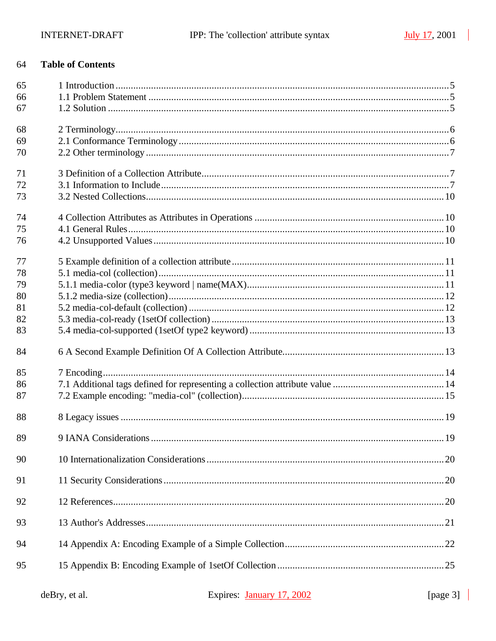#### **Table of Contents** 64

| 65<br>66 |                        |    |
|----------|------------------------|----|
| 67       |                        |    |
| 68       |                        |    |
| 69       |                        |    |
| 70       |                        |    |
| 71       |                        |    |
| 72       |                        |    |
| 73       |                        |    |
| 74       |                        |    |
| 75       |                        |    |
| 76       |                        |    |
| 77       |                        |    |
| 78       |                        |    |
| 79       |                        |    |
| 80       |                        |    |
| 81       |                        |    |
| 82       |                        |    |
| 83       |                        |    |
| 84       |                        |    |
| 85       |                        |    |
| 86       |                        |    |
| 87       |                        |    |
| 88       |                        |    |
| 89       | 9 IANA Considerations. | 19 |
| 90       |                        |    |
| 91       |                        |    |
| 92       |                        |    |
| 93       |                        |    |
| 94       |                        |    |
| 95       |                        |    |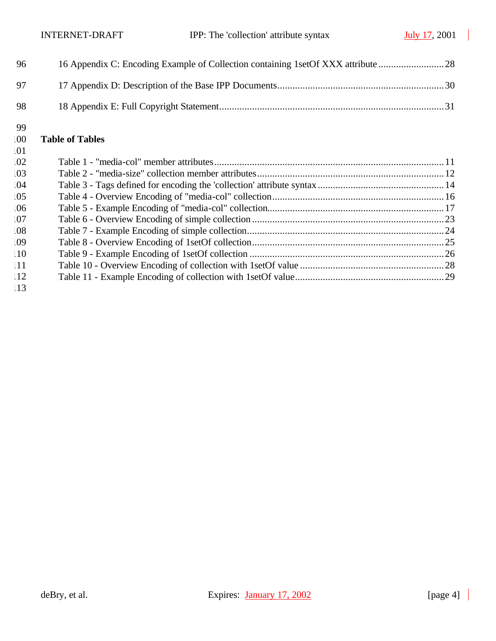| -99<br>$.00\,$ | <b>Table of Tables</b> |
|----------------|------------------------|
| -98            |                        |
| 97             |                        |
| -96            |                        |

| .01                  |  |
|----------------------|--|
| $\overline{02}$      |  |
| .03                  |  |
| $\overline{04}$      |  |
| $\overline{05}$      |  |
| .06                  |  |
| .07                  |  |
| .08                  |  |
| $\overline{0}9$      |  |
| $\overline{10}$      |  |
| $\lfloor 11 \rfloor$ |  |
| $\frac{12}{2}$       |  |
|                      |  |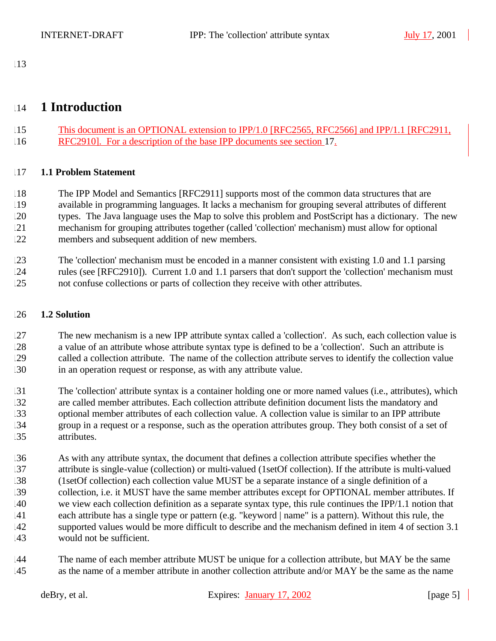## 

## **1 Introduction**

 This document is an OPTIONAL extension to IPP/1.0 [RFC2565, RFC2566] and IPP/1.1 [RFC2911, RFC2910]. For a description of the base IPP documents see section 17.

## **1.1 Problem Statement**

 The IPP Model and Semantics [RFC2911] supports most of the common data structures that are available in programming languages. It lacks a mechanism for grouping several attributes of different types. The Java language uses the Map to solve this problem and PostScript has a dictionary. The new mechanism for grouping attributes together (called 'collection' mechanism) must allow for optional members and subsequent addition of new members.

 The 'collection' mechanism must be encoded in a manner consistent with existing 1.0 and 1.1 parsing rules (see [RFC2910]). Current 1.0 and 1.1 parsers that don't support the 'collection' mechanism must not confuse collections or parts of collection they receive with other attributes.

## **1.2 Solution**

 The new mechanism is a new IPP attribute syntax called a 'collection'. As such, each collection value is a value of an attribute whose attribute syntax type is defined to be a 'collection'. Such an attribute is called a collection attribute. The name of the collection attribute serves to identify the collection value in an operation request or response, as with any attribute value.

 The 'collection' attribute syntax is a container holding one or more named values (i.e., attributes), which are called member attributes. Each collection attribute definition document lists the mandatory and optional member attributes of each collection value. A collection value is similar to an IPP attribute group in a request or a response, such as the operation attributes group. They both consist of a set of attributes.

 As with any attribute syntax, the document that defines a collection attribute specifies whether the attribute is single-value (collection) or multi-valued (1setOf collection). If the attribute is multi-valued (1setOf collection) each collection value MUST be a separate instance of a single definition of a collection, i.e. it MUST have the same member attributes except for OPTIONAL member attributes. If we view each collection definition as a separate syntax type, this rule continues the IPP/1.1 notion that each attribute has a single type or pattern (e.g. "keyword | name" is a pattern). Without this rule, the supported values would be more difficult to describe and the mechanism defined in item 4 of section 3.1 would not be sufficient.

 The name of each member attribute MUST be unique for a collection attribute, but MAY be the same as the name of a member attribute in another collection attribute and/or MAY be the same as the name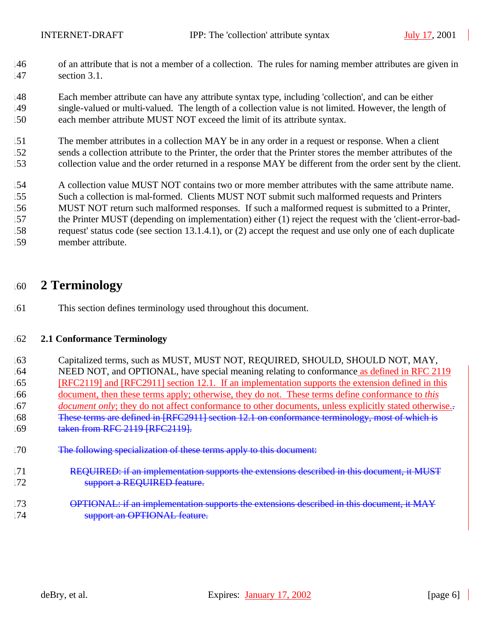- of an attribute that is not a member of a collection. The rules for naming member attributes are given in section 3.1.
- Each member attribute can have any attribute syntax type, including 'collection', and can be either single-valued or multi-valued. The length of a collection value is not limited. However, the length of each member attribute MUST NOT exceed the limit of its attribute syntax.
- The member attributes in a collection MAY be in any order in a request or response. When a client sends a collection attribute to the Printer, the order that the Printer stores the member attributes of the collection value and the order returned in a response MAY be different from the order sent by the client.
- A collection value MUST NOT contains two or more member attributes with the same attribute name.
- Such a collection is mal-formed. Clients MUST NOT submit such malformed requests and Printers
- MUST NOT return such malformed responses. If such a malformed request is submitted to a Printer, the Printer MUST (depending on implementation) either (1) reject the request with the 'client-error-bad-
- request' status code (see section 13.1.4.1), or (2) accept the request and use only one of each duplicate
- member attribute.

## **2 Terminology**

This section defines terminology used throughout this document.

## **2.1 Conformance Terminology**

- Capitalized terms, such as MUST, MUST NOT, REQUIRED, SHOULD, SHOULD NOT, MAY, NEED NOT, and OPTIONAL, have special meaning relating to conformance as defined in RFC 2119 [RFC2119] and [RFC2911] section 12.1. If an implementation supports the extension defined in this document, then these terms apply; otherwise, they do not. These terms define conformance to *this document only*; they do not affect conformance to other documents, unless explicitly stated otherwise.. 168 These terms are defined in [RFC2911] section 12.1 on conformance terminology, most of which is 169 taken from RFC 2119 [RFC2119]. 170 The following specialization of these terms apply to this document: 171 REQUIRED: if an implementation supports the extensions described in this document, it MUST
- 172 support a REQUIRED feature.
- **OPTIONAL: if an implementation supports the extensions described in this document, it MAY Support an OPTIONAL feature.**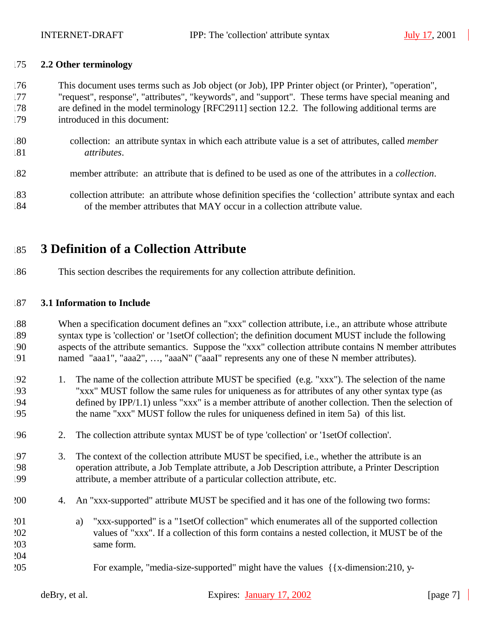## **2.2 Other terminology**

- This document uses terms such as Job object (or Job), IPP Printer object (or Printer), "operation", "request", response", "attributes", "keywords", and "support". These terms have special meaning and are defined in the model terminology [RFC2911] section 12.2. The following additional terms are introduced in this document:
- collection: an attribute syntax in which each attribute value is a set of attributes, called *member attributes*.
- member attribute: an attribute that is defined to be used as one of the attributes in a *collection*.
- collection attribute: an attribute whose definition specifies the 'collection' attribute syntax and each of the member attributes that MAY occur in a collection attribute value.

## **3 Definition of a Collection Attribute**

This section describes the requirements for any collection attribute definition.

## **3.1 Information to Include**

 When a specification document defines an "xxx" collection attribute, i.e., an attribute whose attribute syntax type is 'collection' or '1setOf collection'; the definition document MUST include the following aspects of the attribute semantics. Suppose the "xxx" collection attribute contains N member attributes named "aaa1", "aaa2", …, "aaaN" ("aaaI" represents any one of these N member attributes).

- 1. The name of the collection attribute MUST be specified (e.g. "xxx"). The selection of the name "xxx" MUST follow the same rules for uniqueness as for attributes of any other syntax type (as defined by IPP/1.1) unless "xxx" is a member attribute of another collection. Then the selection of the name "xxx" MUST follow the rules for uniqueness defined in item 5a) of this list.
- 2. The collection attribute syntax MUST be of type 'collection' or '1setOf collection'.
- 3. The context of the collection attribute MUST be specified, i.e., whether the attribute is an operation attribute, a Job Template attribute, a Job Description attribute, a Printer Description attribute, a member attribute of a particular collection attribute, etc.
- 4. An "xxx-supported" attribute MUST be specified and it has one of the following two forms:
- a) "xxx-supported" is a "1setOf collection" which enumerates all of the supported collection values of "xxx". If a collection of this form contains a nested collection, it MUST be of the same form.
- For example, "media-size-supported" might have the values {{x-dimension:210, y-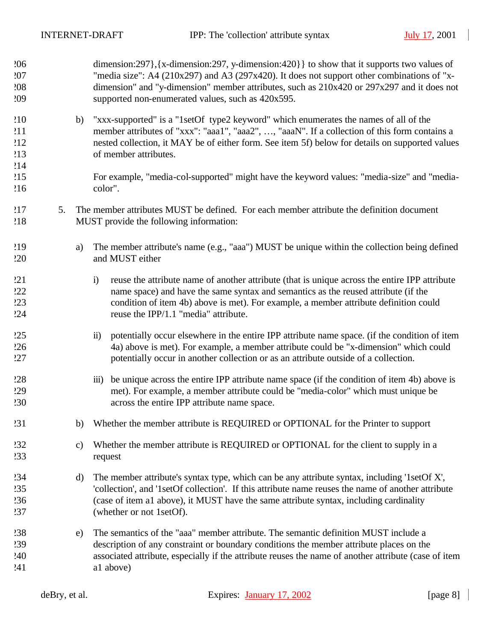| 206<br>207<br>208<br>209        |    |               | dimension:297}, {x-dimension:297, y-dimension:420}} to show that it supports two values of<br>"media size": A4 (210x297) and A3 (297x420). It does not support other combinations of "x-<br>dimension" and "y-dimension" member attributes, such as 210x420 or 297x297 and it does not<br>supported non-enumerated values, such as 420x595. |
|---------------------------------|----|---------------|---------------------------------------------------------------------------------------------------------------------------------------------------------------------------------------------------------------------------------------------------------------------------------------------------------------------------------------------|
| 210<br>211<br>212<br>213<br>214 |    | b)            | "xxx-supported" is a "1setOf type2 keyword" which enumerates the names of all of the<br>member attributes of "xxx": "aaa1", "aaa2", , "aaaN". If a collection of this form contains a<br>nested collection, it MAY be of either form. See item 5f) below for details on supported values<br>of member attributes.                           |
| 215<br>216                      |    |               | For example, "media-col-supported" might have the keyword values: "media-size" and "media-<br>color".                                                                                                                                                                                                                                       |
| 217<br>218                      | 5. |               | The member attributes MUST be defined. For each member attribute the definition document<br>MUST provide the following information:                                                                                                                                                                                                         |
| 219<br>220                      |    | a)            | The member attribute's name (e.g., "aaa") MUST be unique within the collection being defined<br>and MUST either                                                                                                                                                                                                                             |
| 221<br>222<br>223<br>24         |    |               | reuse the attribute name of another attribute (that is unique across the entire IPP attribute<br>$\ddot{1}$<br>name space) and have the same syntax and semantics as the reused attribute (if the<br>condition of item 4b) above is met). For example, a member attribute definition could<br>reuse the IPP/1.1 "media" attribute.          |
| 225<br>226<br>27                |    |               | potentially occur elsewhere in the entire IPP attribute name space. (if the condition of item<br>$\ddot{\mathbf{n}}$ )<br>4a) above is met). For example, a member attribute could be "x-dimension" which could<br>potentially occur in another collection or as an attribute outside of a collection.                                      |
| 228<br><b>229</b><br><b>230</b> |    |               | be unique across the entire IPP attribute name space (if the condition of item 4b) above is<br>$\overline{111}$ )<br>met). For example, a member attribute could be "media-color" which must unique be<br>across the entire IPP attribute name space.                                                                                       |
| 231                             |    | b)            | Whether the member attribute is REQUIRED or OPTIONAL for the Printer to support                                                                                                                                                                                                                                                             |
| 232<br>233                      |    | $\mathbf{c})$ | Whether the member attribute is REQUIRED or OPTIONAL for the client to supply in a<br>request                                                                                                                                                                                                                                               |
| 234<br>235<br>236<br>237        |    | $\rm d)$      | The member attribute's syntax type, which can be any attribute syntax, including '1setOf X',<br>'collection', and '1setOf collection'. If this attribute name reuses the name of another attribute<br>(case of item a1 above), it MUST have the same attribute syntax, including cardinality<br>(whether or not 1setOf).                    |
| 238<br>239<br>240<br>241        |    | e)            | The semantics of the "aaa" member attribute. The semantic definition MUST include a<br>description of any constraint or boundary conditions the member attribute places on the<br>associated attribute, especially if the attribute reuses the name of another attribute (case of item<br>a1 above)                                         |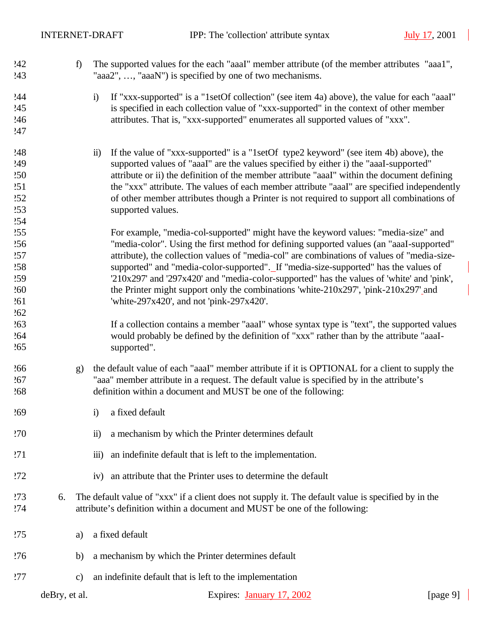| 242<br>243 | f)            | The supported values for the each "aaaI" member attribute (of the member attributes "aaa1",<br>"aaa2", , "aaaN") is specified by one of two mechanisms. |
|------------|---------------|---------------------------------------------------------------------------------------------------------------------------------------------------------|
| 244        |               | If "xxx-supported" is a "1setOf collection" (see item 4a) above), the value for each "aaaI"<br>$\ddot{1}$                                               |
| 245        |               | is specified in each collection value of "xxx-supported" in the context of other member                                                                 |
| 246        |               | attributes. That is, "xxx-supported" enumerates all supported values of "xxx".                                                                          |
| 247        |               |                                                                                                                                                         |
|            |               |                                                                                                                                                         |
| 248        |               | If the value of "xxx-supported" is a "1setOf type2 keyword" (see item 4b) above), the<br>$\ddot{\mathbf{n}}$                                            |
| 249        |               | supported values of "aaaI" are the values specified by either i) the "aaaI-supported"                                                                   |
| 250        |               | attribute or ii) the definition of the member attribute "aaaI" within the document defining                                                             |
| 251        |               | the "xxx" attribute. The values of each member attribute "aaaI" are specified independently                                                             |
| .52        |               | of other member attributes though a Printer is not required to support all combinations of                                                              |
| 253        |               | supported values.                                                                                                                                       |
| 254        |               |                                                                                                                                                         |
|            |               |                                                                                                                                                         |
| 255        |               | For example, "media-col-supported" might have the keyword values: "media-size" and                                                                      |
| 256        |               | "media-color". Using the first method for defining supported values (an "aaaI-supported"                                                                |
| 257        |               | attribute), the collection values of "media-col" are combinations of values of "media-size-                                                             |
| 258        |               | supported" and "media-color-supported"._If "media-size-supported" has the values of                                                                     |
| 259        |               | '210x297' and '297x420' and "media-color-supported" has the values of 'white' and 'pink',                                                               |
| 260        |               | the Printer might support only the combinations 'white-210x297', 'pink-210x297'_and                                                                     |
| 261        |               | 'white-297x420', and not 'pink-297x420'.                                                                                                                |
| 262        |               |                                                                                                                                                         |
| 263        |               | If a collection contains a member "aaal" whose syntax type is "text", the supported values                                                              |
| .64        |               | would probably be defined by the definition of "xxx" rather than by the attribute "aaaI-                                                                |
| 265        |               | supported".                                                                                                                                             |
|            |               |                                                                                                                                                         |
| 266        | g)            | the default value of each "aaaI" member attribute if it is OPTIONAL for a client to supply the                                                          |
| 267        |               | "aaa" member attribute in a request. The default value is specified by in the attribute's                                                               |
| 268        |               | definition within a document and MUST be one of the following:                                                                                          |
| 269        |               | a fixed default<br>$\ddot{\mathbf{i}}$                                                                                                                  |
| 270        |               | a mechanism by which the Printer determines default<br>$\ddot{\mathbf{i}}$                                                                              |
| 271        |               | an indefinite default that is left to the implementation.<br>$\overline{iii}$ )                                                                         |
| 272        |               | an attribute that the Printer uses to determine the default<br>iv)                                                                                      |
| 273        | 6.            | The default value of "xxx" if a client does not supply it. The default value is specified by in the                                                     |
| 274        |               | attribute's definition within a document and MUST be one of the following:                                                                              |
|            |               |                                                                                                                                                         |
| 275        | a)            | a fixed default                                                                                                                                         |
| 276        | b)            | a mechanism by which the Printer determines default                                                                                                     |
| 277        | c)            | an indefinite default that is left to the implementation                                                                                                |
|            | deBry, et al. | Expires: January 17, 2002<br>[page $9$ ]                                                                                                                |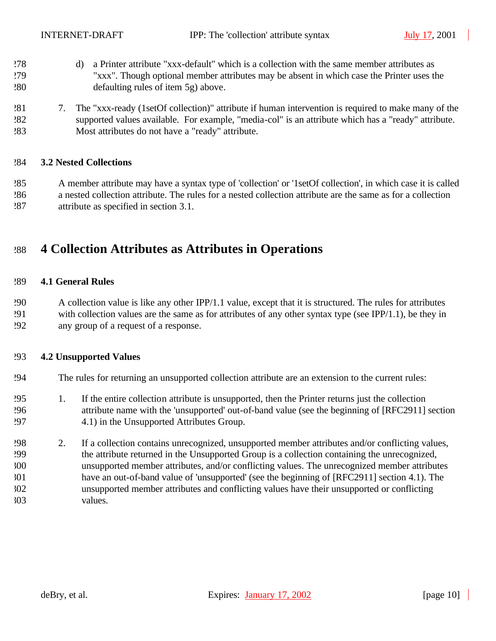- d) a Printer attribute "xxx-default" which is a collection with the same member attributes as "xxx". Though optional member attributes may be absent in which case the Printer uses the defaulting rules of item 5g) above.
- 7. The "xxx-ready (1setOf collection)" attribute if human intervention is required to make many of the supported values available. For example, "media-col" is an attribute which has a "ready" attribute. Most attributes do not have a "ready" attribute.

#### **3.2 Nested Collections**

 A member attribute may have a syntax type of 'collection' or '1setOf collection', in which case it is called a nested collection attribute. The rules for a nested collection attribute are the same as for a collection attribute as specified in section 3.1.

## **4 Collection Attributes as Attributes in Operations**

#### **4.1 General Rules**

 A collection value is like any other IPP/1.1 value, except that it is structured. The rules for attributes 291 with collection values are the same as for attributes of any other syntax type (see IPP/1.1), be they in any group of a request of a response.

#### **4.2 Unsupported Values**

- The rules for returning an unsupported collection attribute are an extension to the current rules:
- 1. If the entire collection attribute is unsupported, then the Printer returns just the collection attribute name with the 'unsupported' out-of-band value (see the beginning of [RFC2911] section 4.1) in the Unsupported Attributes Group.
- 2. If a collection contains unrecognized, unsupported member attributes and/or conflicting values, the attribute returned in the Unsupported Group is a collection containing the unrecognized, unsupported member attributes, and/or conflicting values. The unrecognized member attributes have an out-of-band value of 'unsupported' (see the beginning of [RFC2911] section 4.1). The unsupported member attributes and conflicting values have their unsupported or conflicting values.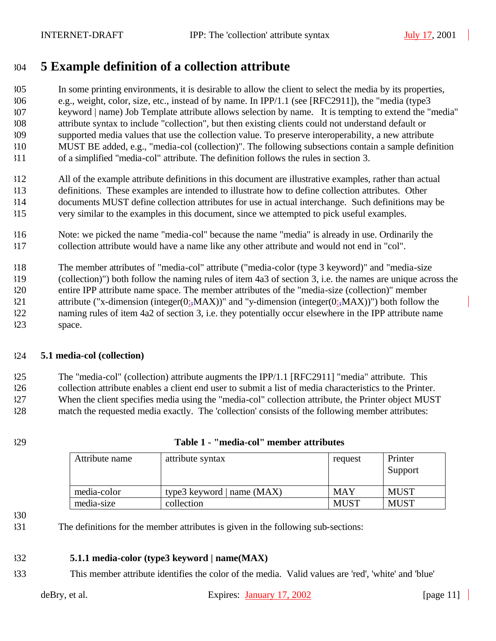# **5 Example definition of a collection attribute**

 In some printing environments, it is desirable to allow the client to select the media by its properties, e.g., weight, color, size, etc., instead of by name. In IPP/1.1 (see [RFC2911]), the "media (type3 keyword | name) Job Template attribute allows selection by name. It is tempting to extend the "media" attribute syntax to include "collection", but then existing clients could not understand default or supported media values that use the collection value. To preserve interoperability, a new attribute MUST BE added, e.g., "media-col (collection)". The following subsections contain a sample definition of a simplified "media-col" attribute. The definition follows the rules in section 3.

 All of the example attribute definitions in this document are illustrative examples, rather than actual definitions. These examples are intended to illustrate how to define collection attributes. Other documents MUST define collection attributes for use in actual interchange. Such definitions may be very similar to the examples in this document, since we attempted to pick useful examples.

 Note: we picked the name "media-col" because the name "media" is already in use. Ordinarily the collection attribute would have a name like any other attribute and would not end in "col".

 The member attributes of "media-col" attribute ("media-color (type 3 keyword)" and "media-size (collection)") both follow the naming rules of item 4a3 of section 3, i.e. the names are unique across the entire IPP attribute name space. The member attributes of the "media-size (collection)" member 321 attribute ("x-dimension (integer(0:,MAX))" and "y-dimension (integer(0:,MAX))") both follow the naming rules of item 4a2 of section 3, i.e. they potentially occur elsewhere in the IPP attribute name space.

## **5.1 media-col (collection)**

 The "media-col" (collection) attribute augments the IPP/1.1 [RFC2911] "media" attribute. This collection attribute enables a client end user to submit a list of media characteristics to the Printer. When the client specifies media using the "media-col" collection attribute, the Printer object MUST match the requested media exactly. The 'collection' consists of the following member attributes:

## **Table 1 - "media-col" member attributes**

| Attribute name | attribute syntax             | request     | Printer<br>Support |
|----------------|------------------------------|-------------|--------------------|
| media-color    | type3 keyword   name $(MAX)$ | MAY         | <b>MUST</b>        |
| media-size     | collection                   | <b>MUST</b> | <b>MUST</b>        |

The definitions for the member attributes is given in the following sub-sections:

#### **5.1.1 media-color (type3 keyword | name(MAX)**

This member attribute identifies the color of the media. Valid values are 'red', 'white' and 'blue'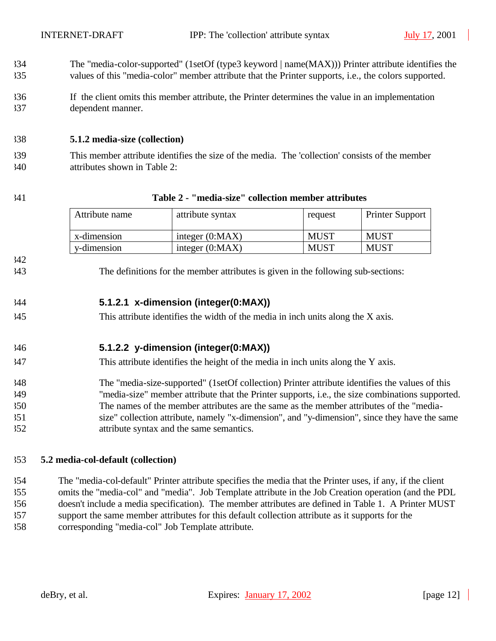- The "media-color-supported" (1setOf (type3 keyword | name(MAX))) Printer attribute identifies the values of this "media-color" member attribute that the Printer supports, i.e., the colors supported.
- If the client omits this member attribute, the Printer determines the value in an implementation dependent manner.

## **5.1.2 media-size (collection)**

- This member attribute identifies the size of the media. The 'collection' consists of the member attributes shown in Table 2:
- 

## **Table 2 - "media-size" collection member attributes**

| Attribute name | attribute syntax  | request     | <b>Printer Support</b> |
|----------------|-------------------|-------------|------------------------|
| x-dimension    | integer $(0:MAX)$ | <b>MUST</b> | MUST                   |
| y-dimension    | integer $(0:MAX)$ | <b>MUST</b> | <b>MUST</b>            |

The definitions for the member attributes is given in the following sub-sections:

## **5.1.2.1 x-dimension (integer(0:MAX))**

This attribute identifies the width of the media in inch units along the X axis.

## **5.1.2.2 y-dimension (integer(0:MAX))**

- This attribute identifies the height of the media in inch units along the Y axis.
- The "media-size-supported" (1setOf collection) Printer attribute identifies the values of this "media-size" member attribute that the Printer supports, i.e., the size combinations supported. The names of the member attributes are the same as the member attributes of the "media- size" collection attribute, namely "x-dimension", and "y-dimension", since they have the same attribute syntax and the same semantics.

## **5.2 media-col-default (collection)**

 The "media-col-default" Printer attribute specifies the media that the Printer uses, if any, if the client omits the "media-col" and "media". Job Template attribute in the Job Creation operation (and the PDL doesn't include a media specification). The member attributes are defined in Table 1. A Printer MUST support the same member attributes for this default collection attribute as it supports for the corresponding "media-col" Job Template attribute.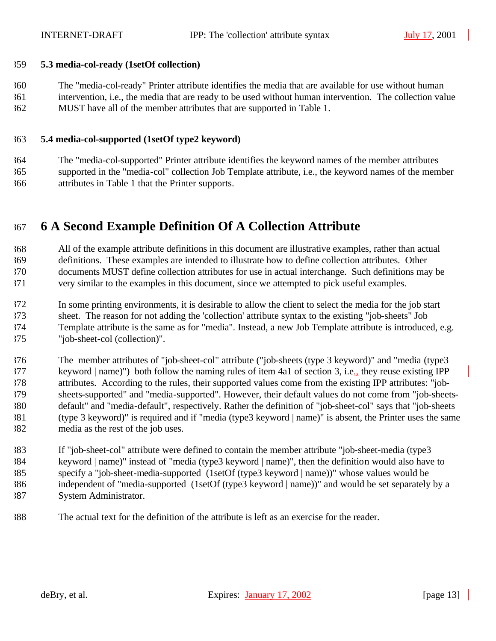## **5.3 media-col-ready (1setOf collection)**

 The "media-col-ready" Printer attribute identifies the media that are available for use without human intervention, i.e., the media that are ready to be used without human intervention. The collection value MUST have all of the member attributes that are supported in Table 1.

## **5.4 media-col-supported (1setOf type2 keyword)**

 The "media-col-supported" Printer attribute identifies the keyword names of the member attributes supported in the "media-col" collection Job Template attribute, i.e., the keyword names of the member attributes in Table 1 that the Printer supports.

# **6 A Second Example Definition Of A Collection Attribute**

 All of the example attribute definitions in this document are illustrative examples, rather than actual definitions. These examples are intended to illustrate how to define collection attributes. Other documents MUST define collection attributes for use in actual interchange. Such definitions may be very similar to the examples in this document, since we attempted to pick useful examples.

 In some printing environments, it is desirable to allow the client to select the media for the job start sheet. The reason for not adding the 'collection' attribute syntax to the existing "job-sheets" Job Template attribute is the same as for "media". Instead, a new Job Template attribute is introduced, e.g.

"job-sheet-col (collection)".

 The member attributes of "job-sheet-col" attribute ("job-sheets (type 3 keyword)" and "media (type3 keyword | name)") both follow the naming rules of item 4a1 of section 3, i.e., they reuse existing IPP attributes. According to the rules, their supported values come from the existing IPP attributes: "job- sheets-supported" and "media-supported". However, their default values do not come from "job-sheets- default" and "media-default", respectively. Rather the definition of "job-sheet-col" says that "job-sheets (type 3 keyword)" is required and if "media (type3 keyword | name)" is absent, the Printer uses the same media as the rest of the job uses.

 If "job-sheet-col" attribute were defined to contain the member attribute "job-sheet-media (type3 keyword | name)" instead of "media (type3 keyword | name)", then the definition would also have to specify a "job-sheet-media-supported (1setOf (type3 keyword | name))" whose values would be independent of "media-supported (1setOf (type3 keyword | name))" and would be set separately by a System Administrator.

The actual text for the definition of the attribute is left as an exercise for the reader.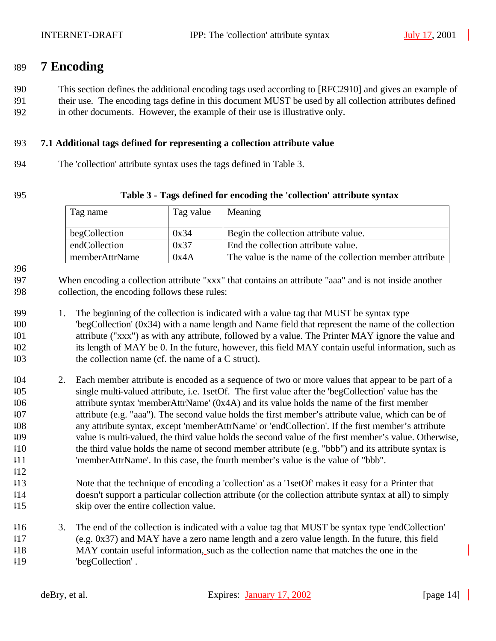## **7 Encoding**

This section defines the additional encoding tags used according to [RFC2910] and gives an example of

 their use. The encoding tags define in this document MUST be used by all collection attributes defined in other documents. However, the example of their use is illustrative only.

## **7.1 Additional tags defined for representing a collection attribute value**

The 'collection' attribute syntax uses the tags defined in Table 3.

#### **Table 3 - Tags defined for encoding the 'collection' attribute syntax**

| Tag name       | Tag value | Meaning                                                  |
|----------------|-----------|----------------------------------------------------------|
| begCollection  | 0x34      | Begin the collection attribute value.                    |
| endCollection  | 0x37      | End the collection attribute value.                      |
| memberAttrName | 0x4A      | The value is the name of the collection member attribute |

- When encoding a collection attribute "xxx" that contains an attribute "aaa" and is not inside another collection, the encoding follows these rules:
- 1. The beginning of the collection is indicated with a value tag that MUST be syntax type 'begCollection' (0x34) with a name length and Name field that represent the name of the collection attribute ("xxx") as with any attribute, followed by a value. The Printer MAY ignore the value and its length of MAY be 0. In the future, however, this field MAY contain useful information, such as the collection name (cf. the name of a C struct).
- 2. Each member attribute is encoded as a sequence of two or more values that appear to be part of a single multi-valued attribute, i.e. 1setOf. The first value after the 'begCollection' value has the attribute syntax 'memberAttrName' (0x4A) and its value holds the name of the first member attribute (e.g. "aaa"). The second value holds the first member's attribute value, which can be of any attribute syntax, except 'memberAttrName' or 'endCollection'. If the first member's attribute value is multi-valued, the third value holds the second value of the first member's value. Otherwise, the third value holds the name of second member attribute (e.g. "bbb") and its attribute syntax is 'memberAttrName'. In this case, the fourth member's value is the value of "bbb".
- Note that the technique of encoding a 'collection' as a '1setOf' makes it easy for a Printer that doesn't support a particular collection attribute (or the collection attribute syntax at all) to simply skip over the entire collection value.
- 3. The end of the collection is indicated with a value tag that MUST be syntax type 'endCollection' (e.g. 0x37) and MAY have a zero name length and a zero value length. In the future, this field MAY contain useful information, such as the collection name that matches the one in the 'begCollection' .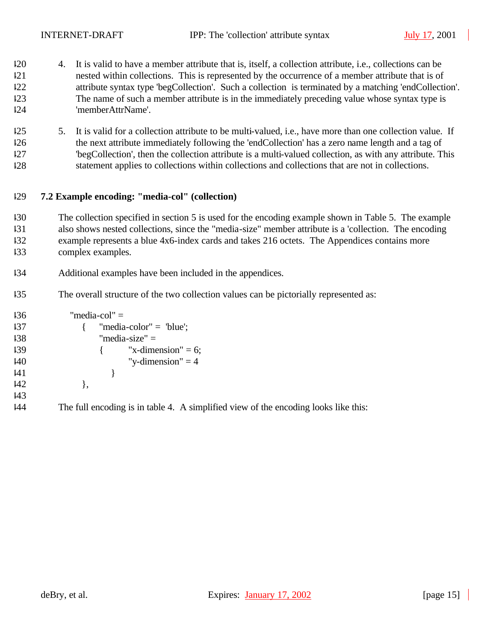- 4. It is valid to have a member attribute that is, itself, a collection attribute, i.e., collections can be nested within collections. This is represented by the occurrence of a member attribute that is of attribute syntax type 'begCollection'. Such a collection is terminated by a matching 'endCollection'. The name of such a member attribute is in the immediately preceding value whose syntax type is 'memberAttrName'.
- 5. It is valid for a collection attribute to be multi-valued, i.e., have more than one collection value. If the next attribute immediately following the 'endCollection' has a zero name length and a tag of 'begCollection', then the collection attribute is a multi-valued collection, as with any attribute. This statement applies to collections within collections and collections that are not in collections.

## **7.2 Example encoding: "media-col" (collection)**

- The collection specified in section 5 is used for the encoding example shown in Table 5. The example also shows nested collections, since the "media-size" member attribute is a 'collection. The encoding example represents a blue 4x6-index cards and takes 216 octets. The Appendices contains more complex examples.
- Additional examples have been included in the appendices.
- The overall structure of the two collection values can be pictorially represented as:

```
136 "media-col" =
437 {137} {137} {137} {137} {137} {137} {137} {137} {137} {137} {137} {137} {137} {137} {137} {137} {137} {137} {137} {137} {137} {137} {137} {137} {137} {137} {137}138 "media-size" =
439 \{ "x-dimension" = 6;
440 "y-dimension" = 4
|41 \rangle }
142 },
443
```
The full encoding is in table 4. A simplified view of the encoding looks like this: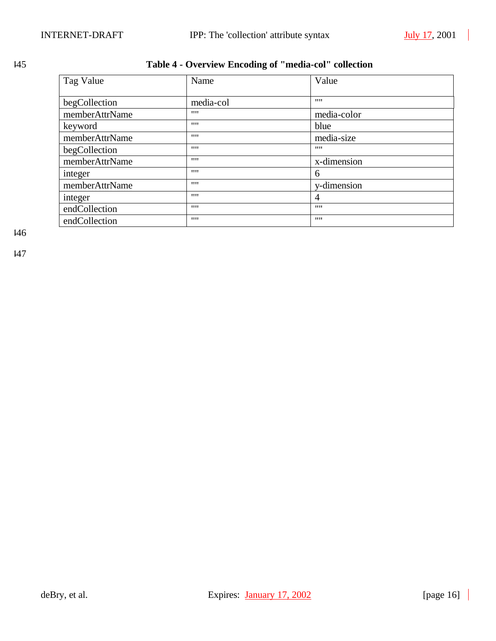## 445 **Table 4 - Overview Encoding of "media-col" collection**

| Tag Value      | Name      | Value       |  |
|----------------|-----------|-------------|--|
| begCollection  | media-col | 1111        |  |
| memberAttrName | 1111      | media-color |  |
| keyword        | 1111      | blue        |  |
| memberAttrName | 1111      | media-size  |  |
| begCollection  | 1111      | 1111        |  |
| memberAttrName | 1111      | x-dimension |  |
| integer        | 1111      | 6           |  |
| memberAttrName | 1111      | y-dimension |  |
| integer        | 1111      | 4           |  |
| endCollection  | 1111      | 1111        |  |
| endCollection  | 1111      | 1111        |  |

446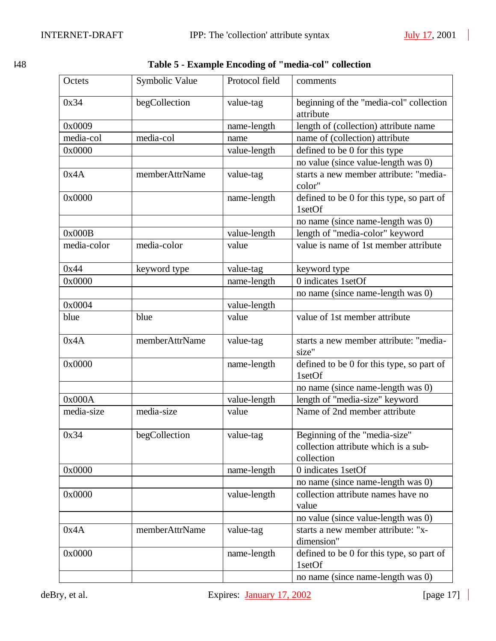| ۰.<br>×<br>v |  |
|--------------|--|
|--------------|--|

| 148 | Table 5 - Example Encoding of "media-col" collection |
|-----|------------------------------------------------------|
|-----|------------------------------------------------------|

| Octets      | Symbolic Value | Protocol field | comments                                                                            |  |
|-------------|----------------|----------------|-------------------------------------------------------------------------------------|--|
| 0x34        | begCollection  | value-tag      | beginning of the "media-col" collection<br>attribute                                |  |
| 0x0009      |                | name-length    | length of (collection) attribute name                                               |  |
| media-col   | media-col      | name           | name of (collection) attribute                                                      |  |
| 0x0000      |                | value-length   | defined to be 0 for this type                                                       |  |
|             |                |                | no value (since value-length was 0)                                                 |  |
| 0x4A        | memberAttrName | value-tag      | starts a new member attribute: "media-<br>color"                                    |  |
| 0x0000      |                | name-length    | defined to be 0 for this type, so part of<br>1setOf                                 |  |
|             |                |                | no name (since name-length was 0)                                                   |  |
| 0x000B      |                | value-length   | length of "media-color" keyword                                                     |  |
| media-color | media-color    | value          | value is name of 1st member attribute                                               |  |
| 0x44        | keyword type   | value-tag      | keyword type                                                                        |  |
| 0x0000      |                | name-length    | 0 indicates 1setOf                                                                  |  |
|             |                |                | no name (since name-length was 0)                                                   |  |
| 0x0004      |                | value-length   |                                                                                     |  |
| blue        | blue           | value          | value of 1st member attribute                                                       |  |
| 0x4A        | memberAttrName | value-tag      | starts a new member attribute: "media-<br>size"                                     |  |
| 0x0000      |                | name-length    | defined to be 0 for this type, so part of<br>1setOf                                 |  |
|             |                |                | no name (since name-length was 0)                                                   |  |
| 0x000A      |                | value-length   | length of "media-size" keyword                                                      |  |
| media-size  | media-size     | value          | Name of 2nd member attribute                                                        |  |
| 0x34        | begCollection  | value-tag      | Beginning of the "media-size"<br>collection attribute which is a sub-<br>collection |  |
| 0x0000      |                | name-length    | 0 indicates 1setOf                                                                  |  |
|             |                |                | no name (since name-length was 0)                                                   |  |
| 0x0000      |                | value-length   | collection attribute names have no<br>value                                         |  |
|             |                |                | no value (since value-length was 0)                                                 |  |
| 0x4A        | memberAttrName | value-tag      | starts a new member attribute: "x-<br>dimension"                                    |  |
| 0x0000      |                | name-length    | defined to be 0 for this type, so part of<br>1setOf                                 |  |
|             |                |                | no name (since name-length was 0)                                                   |  |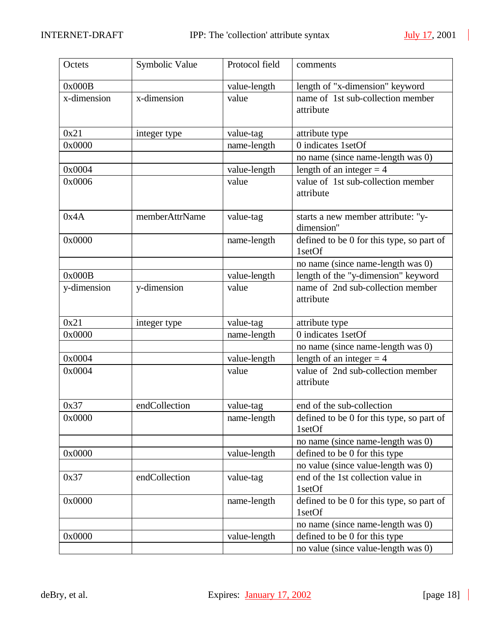| Octets      | Symbolic Value | Protocol field | comments                                            |
|-------------|----------------|----------------|-----------------------------------------------------|
| 0x000B      |                | value-length   | length of "x-dimension" keyword                     |
| x-dimension | x-dimension    | value          | name of 1st sub-collection member<br>attribute      |
| 0x21        | integer type   | value-tag      | attribute type                                      |
| 0x0000      |                | name-length    | 0 indicates 1setOf                                  |
|             |                |                | no name (since name-length was 0)                   |
| 0x0004      |                | value-length   | length of an integer $=$ 4                          |
| 0x0006      |                | value          | value of 1st sub-collection member<br>attribute     |
| 0x4A        | memberAttrName | value-tag      | starts a new member attribute: "y-<br>dimension"    |
| 0x0000      |                | name-length    | defined to be 0 for this type, so part of<br>1setOf |
|             |                |                | no name (since name-length was 0)                   |
| 0x000B      |                | value-length   | length of the "y-dimension" keyword                 |
| y-dimension | y-dimension    | value          | name of 2nd sub-collection member<br>attribute      |
| 0x21        | integer type   | value-tag      | attribute type                                      |
| 0x0000      |                | name-length    | 0 indicates 1setOf                                  |
|             |                |                | no name (since name-length was 0)                   |
| 0x0004      |                | value-length   | length of an integer $=$ 4                          |
| 0x0004      |                | value          | value of 2nd sub-collection member<br>attribute     |
| 0x37        | endCollection  | value-tag      | end of the sub-collection                           |
| 0x0000      |                | name-length    | defined to be 0 for this type, so part of<br>1setOf |
|             |                |                | no name (since name-length was 0)                   |
| 0x0000      |                | value-length   | defined to be 0 for this type                       |
|             |                |                | no value (since value-length was 0)                 |
| 0x37        | endCollection  | value-tag      | end of the 1st collection value in<br>1setOf        |
| 0x0000      |                | name-length    | defined to be 0 for this type, so part of<br>1setOf |
|             |                |                | no name (since name-length was 0)                   |
| 0x0000      |                | value-length   | defined to be 0 for this type                       |
|             |                |                | no value (since value-length was 0)                 |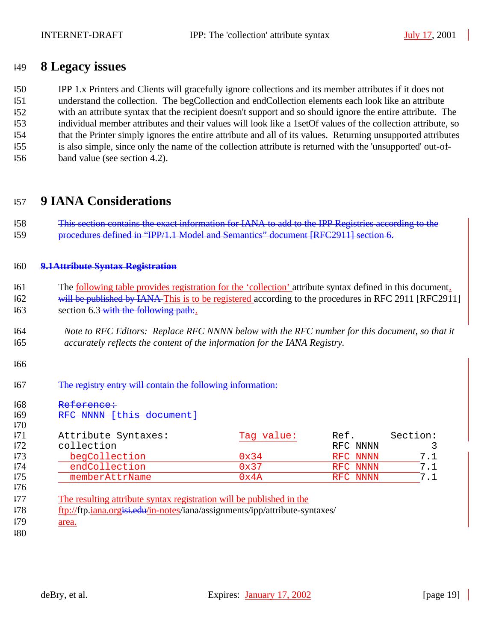## **8 Legacy issues**

IPP 1.x Printers and Clients will gracefully ignore collections and its member attributes if it does not

understand the collection. The begCollection and endCollection elements each look like an attribute

with an attribute syntax that the recipient doesn't support and so should ignore the entire attribute. The

- individual member attributes and their values will look like a 1setOf values of the collection attribute, so that the Printer simply ignores the entire attribute and all of its values. Returning unsupported attributes
- is also simple, since only the name of the collection attribute is returned with the 'unsupported' out-of-
- band value (see section 4.2).

# **9 IANA Considerations**

| 158 | This section contains the exact information for IANA to add to the IPP Registries according to the |
|-----|----------------------------------------------------------------------------------------------------|
| 159 | procedures defined in "IPP/1.1 Model and Semantics" document [RFC2911] section 6.                  |

## **9.1Attribute Syntax Registration**

- The following table provides registration for the 'collection' attribute syntax defined in this document. <sup>162</sup> will be published by IANA This is to be registered according to the procedures in RFC 2911 [RFC2911] 163 section 6.3 with the following path:
- *Note to RFC Editors: Replace RFC NNNN below with the RFC number for this document, so that it accurately reflects the content of the information for the IANA Registry.*
- 
- The registry entry will contain the following information:

| Attribute Syntaxes:                                                                                                                                 | Tag value: | Ref.     |
|-----------------------------------------------------------------------------------------------------------------------------------------------------|------------|----------|
| collection                                                                                                                                          |            | RFC NNNN |
| begCollection                                                                                                                                       | 0x34       | RFC NNNN |
| endCollection                                                                                                                                       | 0x37       | RFC NNNN |
| memberAttrName                                                                                                                                      | 0x4A       | RFC NNNN |
| The resulting attribute syntax registration will be published in the<br>ftp://ftp.jana.orgisi.edu/in-notes/iana/assignments/ipp/attribute-syntaxes/ |            |          |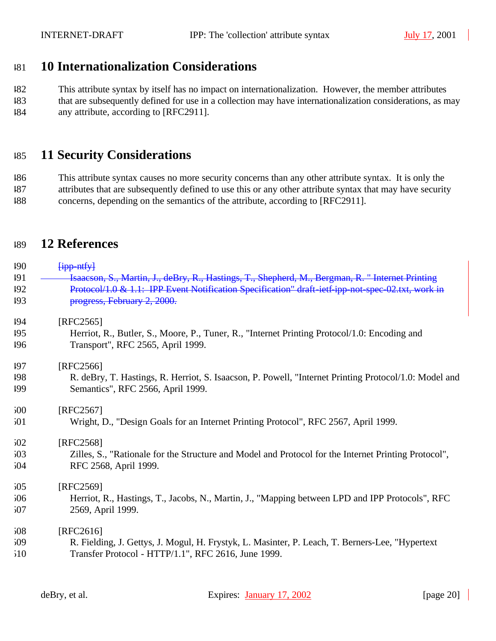## **10 Internationalization Considerations**

 This attribute syntax by itself has no impact on internationalization. However, the member attributes that are subsequently defined for use in a collection may have internationalization considerations, as may any attribute, according to [RFC2911].

## **11 Security Considerations**

 This attribute syntax causes no more security concerns than any other attribute syntax. It is only the attributes that are subsequently defined to use this or any other attribute syntax that may have security

concerns, depending on the semantics of the attribute, according to [RFC2911].

# **12 References**

| 190 | $f$ ipp ntfy $\}$                                                                                     |
|-----|-------------------------------------------------------------------------------------------------------|
| 191 | Isaacson, S., Martin, J., deBry, R., Hastings, T., Shepherd, M., Bergman, R. "Internet Printing       |
| 192 | Protocol/1.0 & 1.1: IPP Event Notification Specification" draft-ietf-ipp-not-spec-02.txt, work in     |
| 193 | progress, February 2, 2000.                                                                           |
| 194 | [RFC2565]                                                                                             |
| 195 | Herriot, R., Butler, S., Moore, P., Tuner, R., "Internet Printing Protocol/1.0: Encoding and          |
| 196 | Transport", RFC 2565, April 1999.                                                                     |
| 197 | [RFC2566]                                                                                             |
| 198 | R. deBry, T. Hastings, R. Herriot, S. Isaacson, P. Powell, "Internet Printing Protocol/1.0: Model and |
| 199 | Semantics", RFC 2566, April 1999.                                                                     |
| 500 | [RFC2567]                                                                                             |
| 501 | Wright, D., "Design Goals for an Internet Printing Protocol", RFC 2567, April 1999.                   |
| 502 | [RFC2568]                                                                                             |
| 503 | Zilles, S., "Rationale for the Structure and Model and Protocol for the Internet Printing Protocol",  |
| 504 | RFC 2568, April 1999.                                                                                 |
| 505 | [RFC2569]                                                                                             |
| 506 | Herriot, R., Hastings, T., Jacobs, N., Martin, J., "Mapping between LPD and IPP Protocols", RFC       |
| 507 | 2569, April 1999.                                                                                     |
| 508 | [RFC2616]                                                                                             |
| 509 | R. Fielding, J. Gettys, J. Mogul, H. Frystyk, L. Masinter, P. Leach, T. Berners-Lee, "Hypertext"      |
| 510 | Transfer Protocol - HTTP/1.1", RFC 2616, June 1999.                                                   |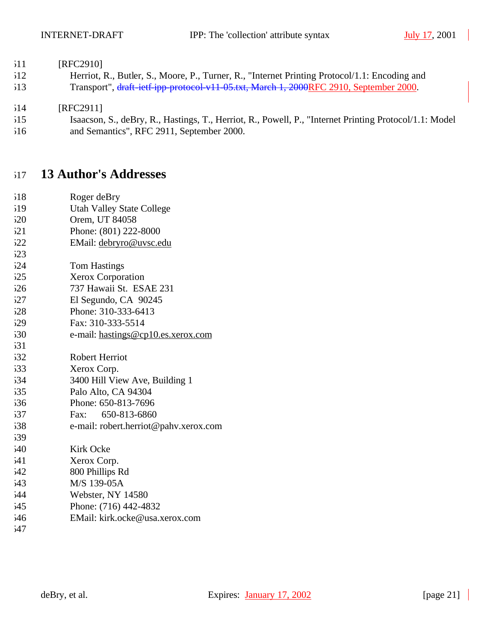## 511 [RFC2910]

 Herriot, R., Butler, S., Moore, P., Turner, R., "Internet Printing Protocol/1.1: Encoding and Transport", draft-ietf-ipp-protocol-v11-05.txt, March 1, 2000RFC 2910, September 2000.

## [RFC2911]

 Isaacson, S., deBry, R., Hastings, T., Herriot, R., Powell, P., "Internet Printing Protocol/1.1: Model and Semantics", RFC 2911, September 2000.

## **13 Author's Addresses**

- Roger deBry
- Utah Valley State College
- Orem, UT 84058
- Phone: (801) 222-8000
- EMail: debryro@uvsc.edu
- Tom Hastings
- Xerox Corporation
- 737 Hawaii St. ESAE 231
- El Segundo, CA 90245
- Phone: 310-333-6413
- Fax: 310-333-5514
- e-mail: hastings@cp10.es.xerox.com

| 1.11 |                                |
|------|--------------------------------|
| 532  | Robert Herriot                 |
| 533  | Xerox Corp.                    |
| 534  | 3400 Hill View Ave, Building 1 |
| 535  | Palo Alto, CA 94304            |
| 536  | Phone: 650-813-7696            |

- Fax: 650-813-6860
- e-mail: robert.herriot@pahv.xerox.com
- Kirk Ocke Xerox Corp. 800 Phillips Rd
- M/S 139-05A
- Webster, NY 14580
- Phone: (716) 442-4832
- EMail: kirk.ocke@usa.xerox.com
-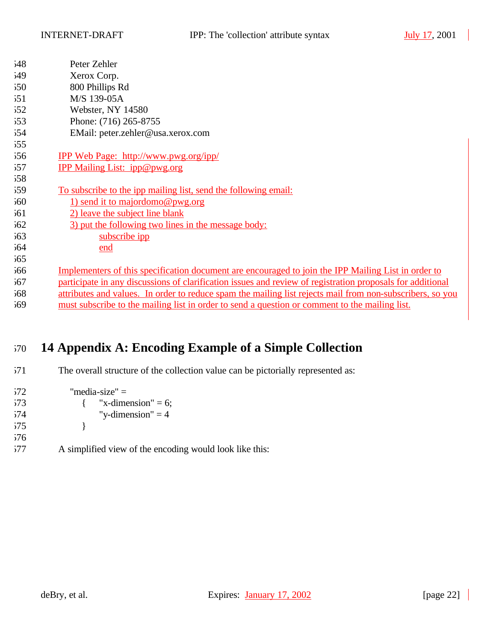| 548 | Peter Zehler                                                                                               |
|-----|------------------------------------------------------------------------------------------------------------|
| 549 | Xerox Corp.                                                                                                |
| 550 | 800 Phillips Rd                                                                                            |
| 551 | M/S 139-05A                                                                                                |
| 52  | Webster, NY 14580                                                                                          |
| 553 | Phone: (716) 265-8755                                                                                      |
| 554 | EMail: peter.zehler@usa.xerox.com                                                                          |
| 555 |                                                                                                            |
| 556 | <u>IPP Web Page: http://www.pwg.org/ipp/</u>                                                               |
| 557 | <b>IPP Mailing List: ipp@pwg.org</b>                                                                       |
| 558 |                                                                                                            |
| 559 | <u>To subscribe to the ipp mailing list, send the following email:</u>                                     |
| 560 | 1) send it to majordomo@pwg.org                                                                            |
| 561 | 2) leave the subject line blank                                                                            |
| 562 | 3) put the following two lines in the message body:                                                        |
| 563 | subscribe ipp                                                                                              |
| 564 | end                                                                                                        |
| 565 |                                                                                                            |
| 566 | Implementers of this specification document are encouraged to join the IPP Mailing List in order to        |
| 567 | participate in any discussions of clarification issues and review of registration proposals for additional |
| 568 | attributes and values. In order to reduce spam the mailing list rejects mail from non-subscribers, so you  |
| 569 | must subscribe to the mailing list in order to send a question or comment to the mailing list.             |
|     |                                                                                                            |

# **14 Appendix A: Encoding Example of a Simple Collection**

The overall structure of the collection value can be pictorially represented as:

| 572 | "media-size" $=$        |   |
|-----|-------------------------|---|
| 573 | $\{$ "x-dimension" = 6; |   |
| 574 | "y-dimension" $=$ 4     |   |
| 575 |                         |   |
| 576 |                         |   |
|     | $\cdots$ $\cdots$       | . |

577 A simplified view of the encoding would look like this: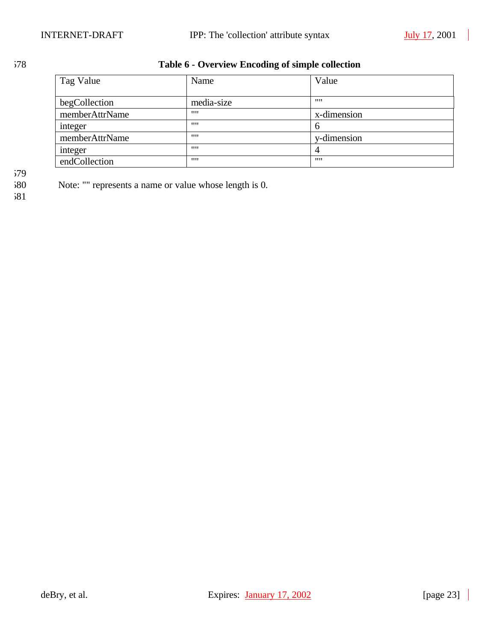## 578 **Table 6 - Overview Encoding of simple collection**

| Tag Value      | Name       | Value       |
|----------------|------------|-------------|
| begCollection  | media-size |             |
| memberAttrName | 1111       | x-dimension |
| integer        | 1111       | h           |
| memberAttrName | 1111       | y-dimension |
| integer        | 1111       | 4           |
| endCollection  | 1111       | 1111        |

579<br>580

Note: "" represents a name or value whose length is 0.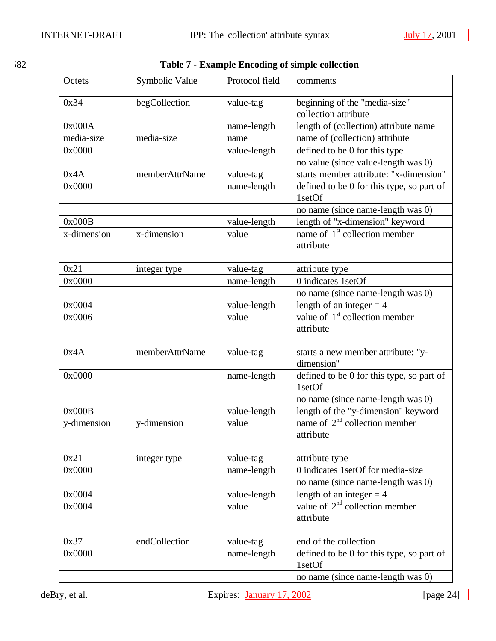| × | ۰.<br>×<br>v |  |
|---|--------------|--|

| 582 | Table 7 - Example Encoding of simple collection |
|-----|-------------------------------------------------|
|-----|-------------------------------------------------|

| Octets      | Symbolic Value | Protocol field | comments                                               |
|-------------|----------------|----------------|--------------------------------------------------------|
| 0x34        | begCollection  | value-tag      | beginning of the "media-size"<br>collection attribute  |
| 0x000A      |                | name-length    | length of (collection) attribute name                  |
| media-size  | media-size     | name           | name of (collection) attribute                         |
| 0x0000      |                | value-length   | defined to be 0 for this type                          |
|             |                |                | no value (since value-length was 0)                    |
| 0x4A        | memberAttrName | value-tag      | starts member attribute: "x-dimension"                 |
| 0x0000      |                | name-length    | defined to be 0 for this type, so part of<br>1setOf    |
|             |                |                | no name (since name-length was 0)                      |
| 0x000B      |                | value-length   | length of "x-dimension" keyword                        |
| x-dimension | x-dimension    | value          | name of 1 <sup>st</sup> collection member<br>attribute |
| 0x21        | integer type   | value-tag      | attribute type                                         |
| 0x0000      |                | name-length    | 0 indicates 1setOf                                     |
|             |                |                | no name (since name-length was 0)                      |
| 0x0004      |                | value-length   | length of an integer $= 4$                             |
| 0x0006      |                | value          | value of $1st$ collection member<br>attribute          |
| 0x4A        | memberAttrName | value-tag      | starts a new member attribute: "y-<br>dimension"       |
| 0x0000      |                | name-length    | defined to be 0 for this type, so part of<br>1setOf    |
|             |                |                | no name (since name-length was 0)                      |
| 0x000B      |                | value-length   | length of the "y-dimension" keyword                    |
| y-dimension | y-dimension    | value          | name of $2nd$ collection member<br>attribute           |
| 0x21        | integer type   | value-tag      | attribute type                                         |
| 0x0000      |                | name-length    | 0 indicates 1setOf for media-size                      |
|             |                |                | no name (since name-length was 0)                      |
| 0x0004      |                | value-length   | length of an integer $=$ 4                             |
| 0x0004      |                | value          | value of $2nd$ collection member<br>attribute          |
| 0x37        | endCollection  | value-tag      | end of the collection                                  |
| 0x0000      |                | name-length    | defined to be 0 for this type, so part of<br>1setOf    |
|             |                |                | no name (since name-length was 0)                      |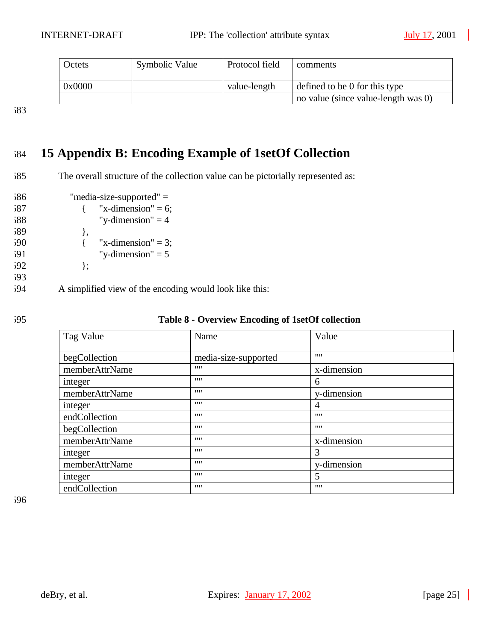| Octets | Symbolic Value | Protocol field | comments                            |
|--------|----------------|----------------|-------------------------------------|
| 0x0000 |                | value-length   | defined to be 0 for this type       |
|        |                |                | no value (since value-length was 0) |

583

# 584 **15 Appendix B: Encoding Example of 1setOf Collection**

- 585 The overall structure of the collection value can be pictorially represented as:
- 586 "media-size-supported" =  $587$  { "x-dimension" = 6; 588 "y-dimension"  $= 4$  $589$  }, 590  $\{$  "x-dimension" = 3; 591 "y-dimension"  $= 5$  $592$  }; 593 594 A simplified view of the encoding would look like this:
- 

| 595 | Table 8 - Overview Encoding of 1setOf collection |
|-----|--------------------------------------------------|
|-----|--------------------------------------------------|

| Tag Value      | Name                 | Value       |
|----------------|----------------------|-------------|
| begCollection  | media-size-supported | 1111        |
| memberAttrName | 1111                 | x-dimension |
| integer        | 1111                 | 6           |
| memberAttrName | 1111                 | y-dimension |
| integer        | 1111                 | 4           |
| endCollection  | 1111                 | 1111        |
| begCollection  | 1111                 | 1111        |
| memberAttrName | 1111                 | x-dimension |
| integer        | 1111                 | 3           |
| memberAttrName | 1111                 | v-dimension |
| integer        | 1111                 | 5           |
| endCollection  | 1111                 | 1111        |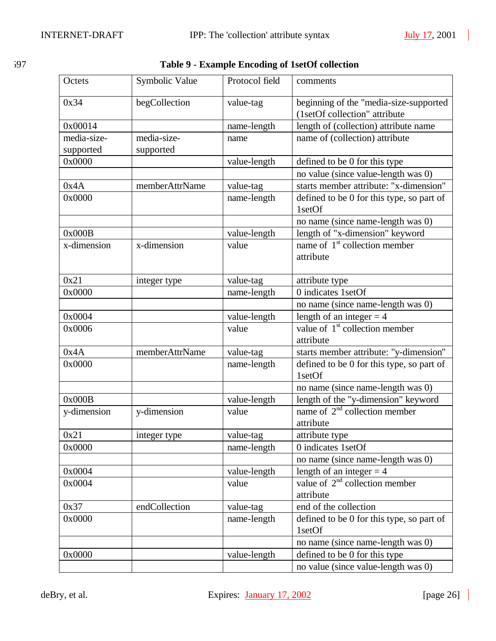$\blacksquare$ 

| 597 | Table 9 - Example Encoding of 1setOf collection |
|-----|-------------------------------------------------|
|     |                                                 |

| Octets      | Symbolic Value | Protocol field | comments                                            |
|-------------|----------------|----------------|-----------------------------------------------------|
| 0x34        | begCollection  | value-tag      | beginning of the "media-size-supported              |
|             |                |                | (1setOf collection" attribute                       |
| 0x00014     |                | name-length    | length of (collection) attribute name               |
| media-size- | media-size-    | name           | name of (collection) attribute                      |
| supported   | supported      |                |                                                     |
| 0x0000      |                | value-length   | defined to be 0 for this type                       |
|             |                |                | no value (since value-length was 0)                 |
| 0x4A        | memberAttrName | value-tag      | starts member attribute: "x-dimension"              |
| 0x0000      |                | name-length    | defined to be 0 for this type, so part of<br>1setOf |
|             |                |                | no name (since name-length was 0)                   |
| 0x000B      |                | value-length   | length of "x-dimension" keyword                     |
| x-dimension | x-dimension    | value          | name of $1st$ collection member                     |
|             |                |                | attribute                                           |
| 0x21        | integer type   | value-tag      | attribute type                                      |
| 0x0000      |                | name-length    | 0 indicates 1setOf                                  |
|             |                |                | no name (since name-length was 0)                   |
| 0x0004      |                | value-length   | length of an integer $=$ 4                          |
| 0x0006      |                | value          | value of $1st$ collection member<br>attribute       |
| 0x4A        | memberAttrName | value-tag      | starts member attribute: "y-dimension"              |
| 0x0000      |                | name-length    | defined to be 0 for this type, so part of           |
|             |                |                | 1setOf                                              |
|             |                |                | no name (since name-length was 0)                   |
| 0x000B      |                | value-length   | length of the "y-dimension" keyword                 |
| y-dimension | y-dimension    | value          | name of $2nd$ collection member<br>attribute        |
| 0x21        | integer type   | value-tag      | attribute type                                      |
| 0x0000      |                | name-length    | 0 indicates 1setOf                                  |
|             |                |                | no name (since name-length was 0)                   |
| 0x0004      |                | value-length   | length of an integer $=$ 4                          |
| 0x0004      |                | value          | value of $2nd$ collection member                    |
|             |                |                | attribute                                           |
| 0x37        | endCollection  | value-tag      | end of the collection                               |
| 0x0000      |                | name-length    | defined to be 0 for this type, so part of           |
|             |                |                | 1setOf                                              |
|             |                |                | no name (since name-length was 0)                   |
| 0x0000      |                | value-length   | defined to be 0 for this type                       |
|             |                |                | no value (since value-length was 0)                 |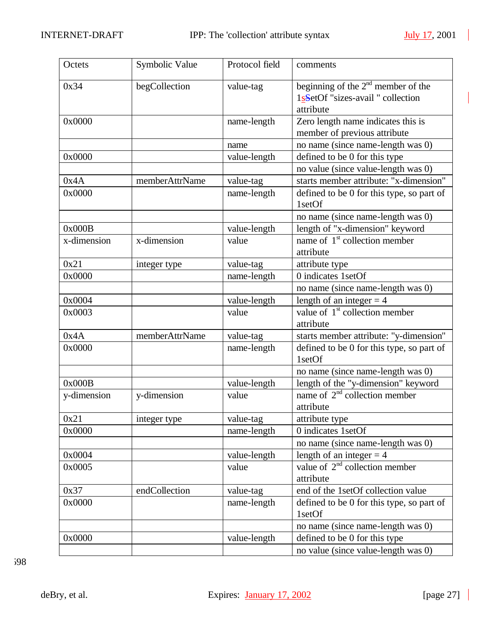| Octets      | Symbolic Value | Protocol field | comments                                  |
|-------------|----------------|----------------|-------------------------------------------|
| 0x34        | begCollection  | value-tag      | beginning of the $2nd$ member of the      |
|             |                |                | 1sSetOf "sizes-avail " collection         |
|             |                |                | attribute                                 |
| 0x0000      |                | name-length    | Zero length name indicates this is        |
|             |                |                | member of previous attribute              |
|             |                | name           | no name (since name-length was 0)         |
| 0x0000      |                | value-length   | defined to be 0 for this type             |
|             |                |                | no value (since value-length was 0)       |
| 0x4A        | memberAttrName | value-tag      | starts member attribute: "x-dimension"    |
| 0x0000      |                | name-length    | defined to be 0 for this type, so part of |
|             |                |                | 1setOf                                    |
|             |                |                | no name (since name-length was 0)         |
| 0x000B      |                | value-length   | length of "x-dimension" keyword           |
| x-dimension | x-dimension    | value          | name of $1st$ collection member           |
|             |                |                | attribute                                 |
| 0x21        | integer type   | value-tag      | attribute type                            |
| 0x0000      |                | name-length    | 0 indicates 1setOf                        |
|             |                |                | no name (since name-length was 0)         |
| 0x0004      |                | value-length   | length of an integer $=$ 4                |
| 0x0003      |                | value          | value of $1st$ collection member          |
|             |                |                | attribute                                 |
| 0x4A        | memberAttrName | value-tag      | starts member attribute: "y-dimension"    |
| 0x0000      |                | name-length    | defined to be 0 for this type, so part of |
|             |                |                | 1setOf                                    |
|             |                |                | no name (since name-length was 0)         |
| 0x000B      |                | value-length   | length of the "y-dimension" keyword       |
| y-dimension | y-dimension    | value          | name of $2nd$ collection member           |
|             |                |                | attribute                                 |
| 0x21        | integer type   | value-tag      | attribute type                            |
| 0x0000      |                | name-length    | 0 indicates 1setOf                        |
|             |                |                | no name (since name-length was 0)         |
| 0x0004      |                | value-length   | length of an integer $=$ 4                |
| 0x0005      |                | value          | value of $2nd$ collection member          |
|             |                |                | attribute                                 |
| 0x37        | endCollection  | value-tag      | end of the 1setOf collection value        |
| 0x0000      |                | name-length    | defined to be 0 for this type, so part of |
|             |                |                | 1setOf                                    |
|             |                |                | no name (since name-length was 0)         |
| 0x0000      |                | value-length   | defined to be 0 for this type             |
|             |                |                | no value (since value-length was 0)       |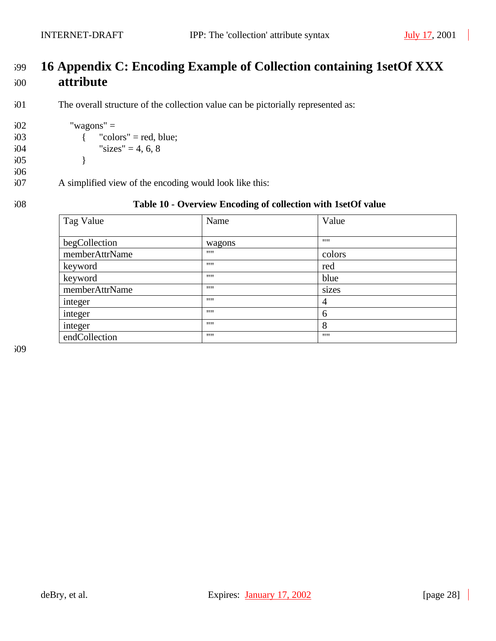$602$  "wagons" =

605 }

 $603$  { "colors" = red, blue;  $604$  "sizes" = 4, 6, 8

607 A simplified view of the encoding would look like this:

# 599 **16 Appendix C: Encoding Example of Collection containing 1setOf XXX**  600 **attribute**

601 The overall structure of the collection value can be pictorially represented as:

606

#### 608 **Table 10 - Overview Encoding of collection with 1setOf value**

| Tag Value      | Name   | Value          |
|----------------|--------|----------------|
| begCollection  | wagons |                |
| memberAttrName | 1111   | colors         |
| keyword        | 1111   | red            |
| keyword        | 1111   | blue           |
| memberAttrName | 1111   | sizes          |
| integer        | 1111   | $\overline{4}$ |
| integer        | 1111   | 6              |
| integer        | 1111   | 8              |
| endCollection  | 1111   | 1111           |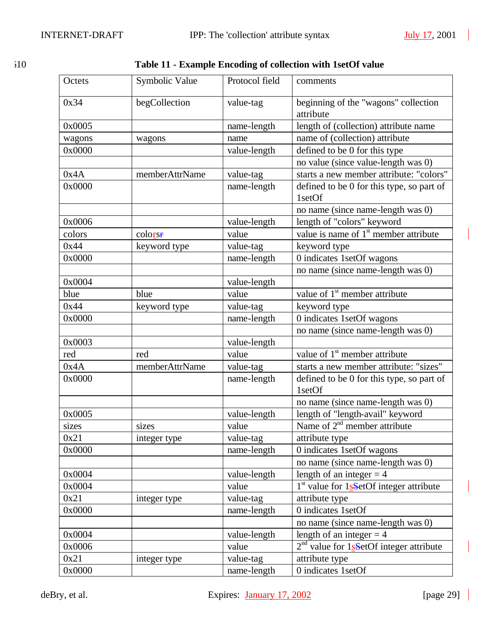$\blacksquare$ 

| I  | I       |
|----|---------|
| ۰. | ۰,<br>× |

| 510 | Table 11 - Example Encoding of collection with 1setOf value |  |  |
|-----|-------------------------------------------------------------|--|--|
|     |                                                             |  |  |

| Octets | Symbolic Value | Protocol field | comments                                            |  |
|--------|----------------|----------------|-----------------------------------------------------|--|
| 0x34   | begCollection  | value-tag      | beginning of the "wagons" collection<br>attribute   |  |
| 0x0005 |                | name-length    | length of (collection) attribute name               |  |
| wagons | wagons         | name           | name of (collection) attribute                      |  |
| 0x0000 |                | value-length   | defined to be 0 for this type                       |  |
|        |                |                | no value (since value-length was 0)                 |  |
| 0x4A   | memberAttrName | value-tag      | starts a new member attribute: "colors"             |  |
| 0x0000 |                | name-length    | defined to be 0 for this type, so part of<br>1setOf |  |
|        |                |                | no name (since name-length was 0)                   |  |
| 0x0006 |                | value-length   | length of "colors" keyword                          |  |
| colors | colorse        | value          | value is name of $1st$ member attribute             |  |
| 0x44   | keyword type   | value-tag      | keyword type                                        |  |
| 0x0000 |                | name-length    | 0 indicates 1setOf wagons                           |  |
|        |                |                | no name (since name-length was 0)                   |  |
| 0x0004 |                | value-length   |                                                     |  |
| blue   | blue           | value          | value of $1st$ member attribute                     |  |
| 0x44   | keyword type   | value-tag      | keyword type                                        |  |
| 0x0000 |                | name-length    | 0 indicates 1setOf wagons                           |  |
|        |                |                | no name (since name-length was 0)                   |  |
| 0x0003 |                | value-length   |                                                     |  |
| red    | red            | value          | value of $1st$ member attribute                     |  |
| 0x4A   | memberAttrName | value-tag      | starts a new member attribute: "sizes"              |  |
| 0x0000 |                | name-length    | defined to be 0 for this type, so part of<br>1setOf |  |
|        |                |                | no name (since name-length was 0)                   |  |
| 0x0005 |                | value-length   | length of "length-avail" keyword                    |  |
| sizes  | sizes          | value          | Name of 2 <sup>nd</sup> member attribute            |  |
| 0x21   | integer type   | value-tag      | attribute type                                      |  |
| 0x0000 |                | name-length    | 0 indicates 1setOf wagons                           |  |
|        |                |                | no name (since name-length was 0)                   |  |
| 0x0004 |                | value-length   | length of an integer $=$ 4                          |  |
| 0x0004 |                | value          | $1st$ value for $1s$ -SetOf integer attribute       |  |
| 0x21   | integer type   | value-tag      | attribute type                                      |  |
| 0x0000 |                | name-length    | 0 indicates 1setOf                                  |  |
|        |                |                | no name (since name-length was 0)                   |  |
| 0x0004 |                | value-length   | length of an integer $= 4$                          |  |
| 0x0006 |                | value          | $2nd$ value for 1s-SetOf integer attribute          |  |
| 0x21   | integer type   | value-tag      | attribute type                                      |  |
| 0x0000 |                | name-length    | 0 indicates 1setOf                                  |  |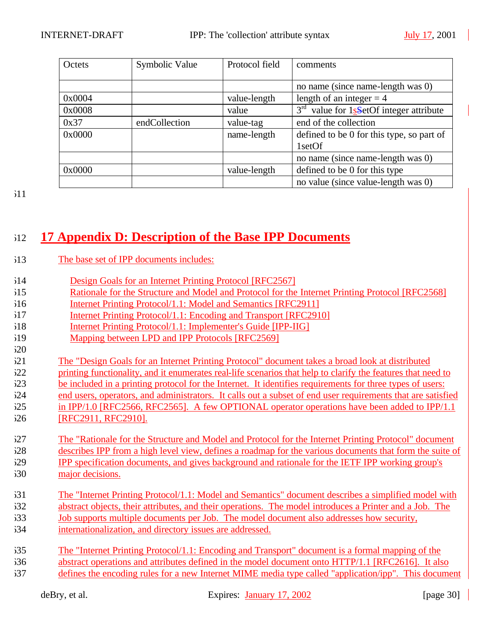| Octets | Symbolic Value | Protocol field | comments                                  |
|--------|----------------|----------------|-------------------------------------------|
|        |                |                |                                           |
|        |                |                | no name (since name-length was 0)         |
| 0x0004 |                | value-length   | length of an integer $=$ 4                |
| 0x0008 |                | value          | $3rd$ value for 1sSetOf integer attribute |
| 0x37   | endCollection  | value-tag      | end of the collection                     |
| 0x0000 |                | name-length    | defined to be 0 for this type, so part of |
|        |                |                | 1setOf                                    |
|        |                |                | no name (since name-length was 0)         |
| 0x0000 |                | value-length   | defined to be 0 for this type             |
|        |                |                | no value (since value-length was 0)       |

# **17 Appendix D: Description of the Base IPP Documents**

- The base set of IPP documents includes:
- Design Goals for an Internet Printing Protocol [RFC2567]
- Rationale for the Structure and Model and Protocol for the Internet Printing Protocol [RFC2568]
- Internet Printing Protocol/1.1: Model and Semantics [RFC2911]
- Internet Printing Protocol/1.1: Encoding and Transport [RFC2910]
- Internet Printing Protocol/1.1: Implementer's Guide [IPP-IIG]
- Mapping between LPD and IPP Protocols [RFC2569]

The "Design Goals for an Internet Printing Protocol" document takes a broad look at distributed

- printing functionality, and it enumerates real-life scenarios that help to clarify the features that need to
- be included in a printing protocol for the Internet. It identifies requirements for three types of users:
- end users, operators, and administrators. It calls out a subset of end user requirements that are satisfied in IPP/1.0 [RFC2566, RFC2565]. A few OPTIONAL operator operations have been added to IPP/1.1 [RFC2911, RFC2910].
- The "Rationale for the Structure and Model and Protocol for the Internet Printing Protocol" document
- describes IPP from a high level view, defines a roadmap for the various documents that form the suite of
- IPP specification documents, and gives background and rationale for the IETF IPP working group's
- major decisions.
- The "Internet Printing Protocol/1.1: Model and Semantics" document describes a simplified model with 632 abstract objects, their attributes, and their operations. The model introduces a Printer and a Job. The Job supports multiple documents per Job. The model document also addresses how security, internationalization, and directory issues are addressed.
- The "Internet Printing Protocol/1.1: Encoding and Transport" document is a formal mapping of the abstract operations and attributes defined in the model document onto HTTP/1.1 [RFC2616]. It also defines the encoding rules for a new Internet MIME media type called "application/ipp". This document